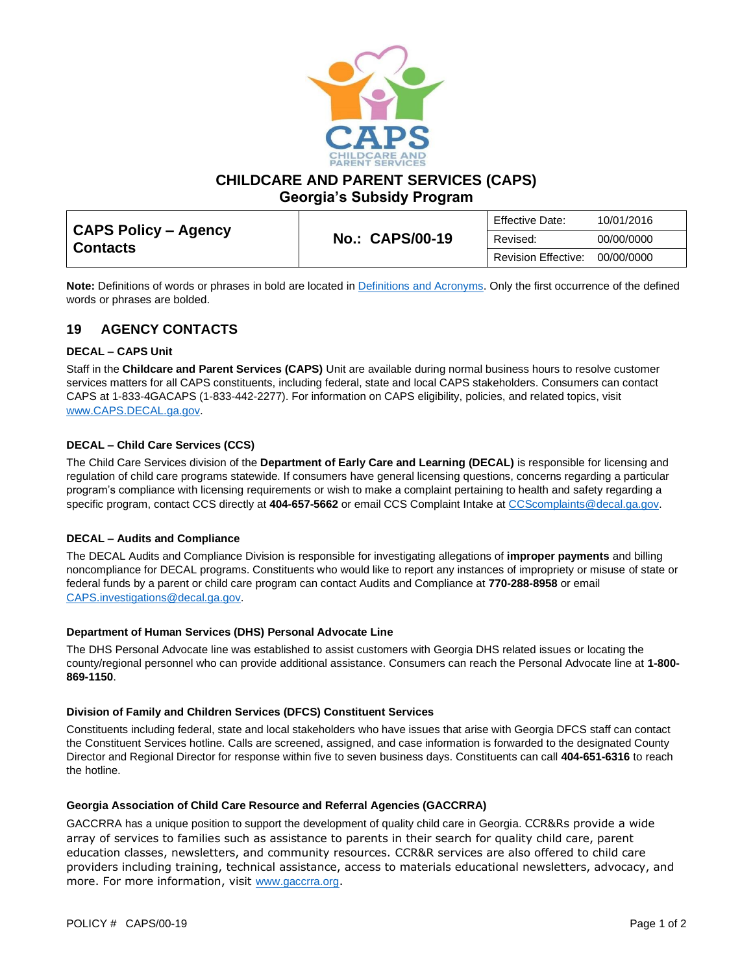

**CHILDCARE AND PARENT SERVICES (CAPS)**

**Georgia's Subsidy Program**

| CAPS Policy – Agency<br><b>Contacts</b> | <b>No.: CAPS/00-19</b> | Effective Date:     | 10/01/2016 |
|-----------------------------------------|------------------------|---------------------|------------|
|                                         |                        | Revised:            | 00/00/0000 |
|                                         |                        | Revision Effective: | 00/00/0000 |

**Note:** Definitions of words or phrases in bold are located in [Definitions and Acronyms.](https://caps.decal.ga.gov/assets/downloads/CAPS/02-CAPS_Policy-Definitions%20and%20Acronyms.pdf) Only the first occurrence of the defined words or phrases are bolded.

# **19 AGENCY CONTACTS**

#### **DECAL – CAPS Unit**

Staff in the **Childcare and Parent Services (CAPS)** Unit are available during normal business hours to resolve customer services matters for all CAPS constituents, including federal, state and local CAPS stakeholders. Consumers can contact CAPS at 1-833-4GACAPS (1-833-442-2277). For information on CAPS eligibility, policies, and related topics, visit [www.CAPS.DECAL.ga.gov.](http://www.caps.decal.ga.gov/)

### **DECAL – Child Care Services (CCS)**

The Child Care Services division of the **Department of Early Care and Learning (DECAL)** is responsible for licensing and regulation of child care programs statewide. If consumers have general licensing questions, concerns regarding a particular program's compliance with licensing requirements or wish to make a complaint pertaining to health and safety regarding a specific program, contact CCS directly at 404-657-5662 or email CCS Complaint Intake a[t CCScomplaints@decal.ga.gov.](mailto:CCScomplaints@decal.ga.gov)

#### **DECAL – Audits and Compliance**

The DECAL Audits and Compliance Division is responsible for investigating allegations of **improper payments** and billing noncompliance for DECAL programs. Constituents who would like to report any instances of impropriety or misuse of state or federal funds by a parent or child care program can contact Audits and Compliance at **770-288-8958** or email [CAPS.investigations@decal.ga.gov.](mailto:CAPS.investigations@decal.ga.gov)

#### **Department of Human Services (DHS) Personal Advocate Line**

The DHS Personal Advocate line was established to assist customers with Georgia DHS related issues or locating the county/regional personnel who can provide additional assistance. Consumers can reach the Personal Advocate line at **1-800- 869-1150**.

#### **Division of Family and Children Services (DFCS) Constituent Services**

Constituents including federal, state and local stakeholders who have issues that arise with Georgia DFCS staff can contact the Constituent Services hotline. Calls are screened, assigned, and case information is forwarded to the designated County Director and Regional Director for response within five to seven business days. Constituents can call **404-651-6316** to reach the hotline.

#### **Georgia Association of Child Care Resource and Referral Agencies (GACCRRA)**

GACCRRA has a unique position to support the development of quality child care in Georgia. CCR&Rs provide a wide array of services to families such as assistance to parents in their search for quality child care, parent education classes, newsletters, and community resources. CCR&R services are also offered to child care providers including training, technical assistance, access to materials educational newsletters, advocacy, and more. For more information, visit [www.gaccrra.org](http://www.gaccrra.org/).